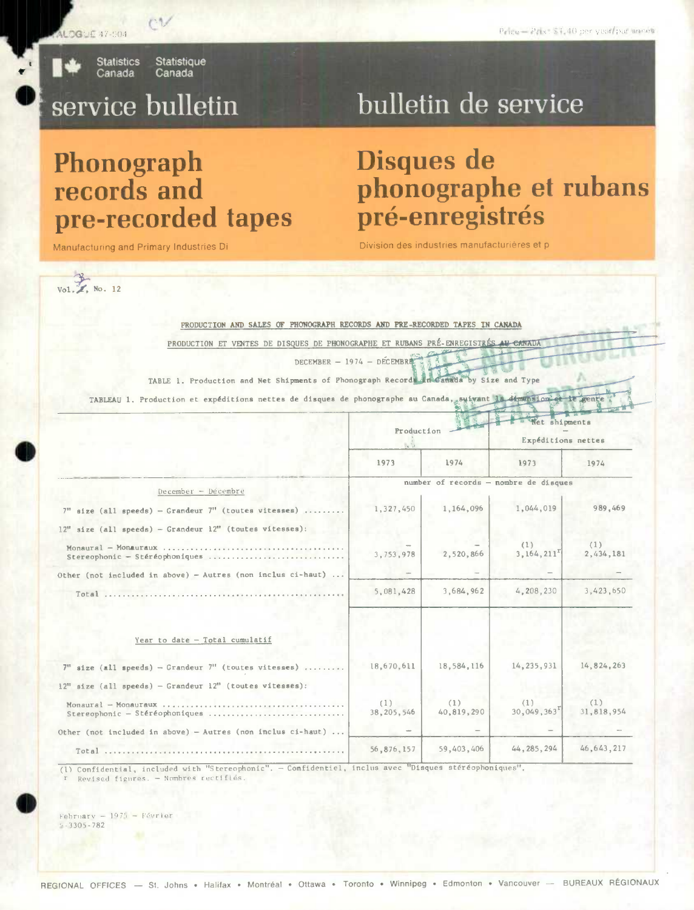Statistique Canada

**Statistics** Canada

**Phonograph** 

**records and** 

Manufacturing and Primary Industries Di

## service bulletin

**pre-recorded tapes** 

# bulletin de service

## **Disques de phonographe et rubans pré-enregistrés**

Division des industries manufacturières et p



| PRODUCTION AND SALES OF PHONOGRAPH RECORDS AND PRE-RECORDED TAPES IN CANADA                                       |                                       |                   |                    |                  |  |
|-------------------------------------------------------------------------------------------------------------------|---------------------------------------|-------------------|--------------------|------------------|--|
| PRODUCTION ET VENTES DE DISQUES DE PHONOGRAPHE ET RUBANS PRÉ-ENREGISTRÉS AU CANADA                                |                                       |                   |                    |                  |  |
| DECEMBER - 1974 - DECEMBRE                                                                                        |                                       |                   |                    |                  |  |
| TABLE 1. Production and Net Shipments of Phonograph Records in Canada by Size and Type                            |                                       |                   |                    |                  |  |
|                                                                                                                   |                                       |                   |                    |                  |  |
| TABLEAU 1. Production et expéditions nettes de disques de phonographe au Canada, suivant la dimension et le genre |                                       |                   |                    |                  |  |
|                                                                                                                   |                                       |                   | Net shipments      |                  |  |
|                                                                                                                   | Production<br>$\mathbb{Z}^2$          |                   | Expéditions nettes |                  |  |
|                                                                                                                   | 1973                                  | 1974              | 1973               | 1974             |  |
|                                                                                                                   | number of records - nombre de disques |                   |                    |                  |  |
| December - Decembre                                                                                               |                                       |                   |                    |                  |  |
| $7"$ size (all speeds) - Grandeur $7"$ (toutes vitesses)                                                          | 1,327,450                             | 1,164,096         | 1,044,019          | 989,469          |  |
| $12"$ size (all speeds) - Grandeur $12"$ (toutes vitesses):                                                       |                                       |                   |                    |                  |  |
| Monaural - Monauraux<br>Stereophonic - Stéréophoniques                                                            | 3,753,978                             | 2,520,866         | (1)<br>3,164,211   | (1)<br>2,434,181 |  |
| Other (not included in above) - Autres (non inclus ci-haut)                                                       |                                       |                   |                    |                  |  |
| Total                                                                                                             | 5,081,428                             | 3,684,962         | 4,208,230          | 3,423,650        |  |
|                                                                                                                   |                                       |                   |                    |                  |  |
| Year to date - Total cumulatif                                                                                    |                                       |                   |                    |                  |  |
| $7"$ size (all speeds) - Grandeur $7"$ (toutes vitesses)                                                          | 18,670,611                            | 18,584,116        | 14,235,931         | 14, 824, 263     |  |
| $12"$ size (all speeds) - Grandeur $12"$ (toutes vitesses):                                                       |                                       |                   |                    |                  |  |
| Stereophonic - Stéréophoniques                                                                                    | (1)<br>38, 205, 546                   | (1)<br>40,819,290 | 711<br>30,049,363  | Œ<br>31,818,954  |  |
| Other (not included in above) - Autres (non inclus ci-haut)                                                       |                                       |                   |                    |                  |  |
|                                                                                                                   | 56,876,157                            | 59,403,406        | 44, 285, 294       | 46, 643, 217     |  |

(l) Confidential, included with "Stereophonic". — Confidentiel, inclus avec "Disques stéréophoniques". Revised figures. - Nombres rectifiés.

 $February = 1975 - Février$  $-3305 - 782$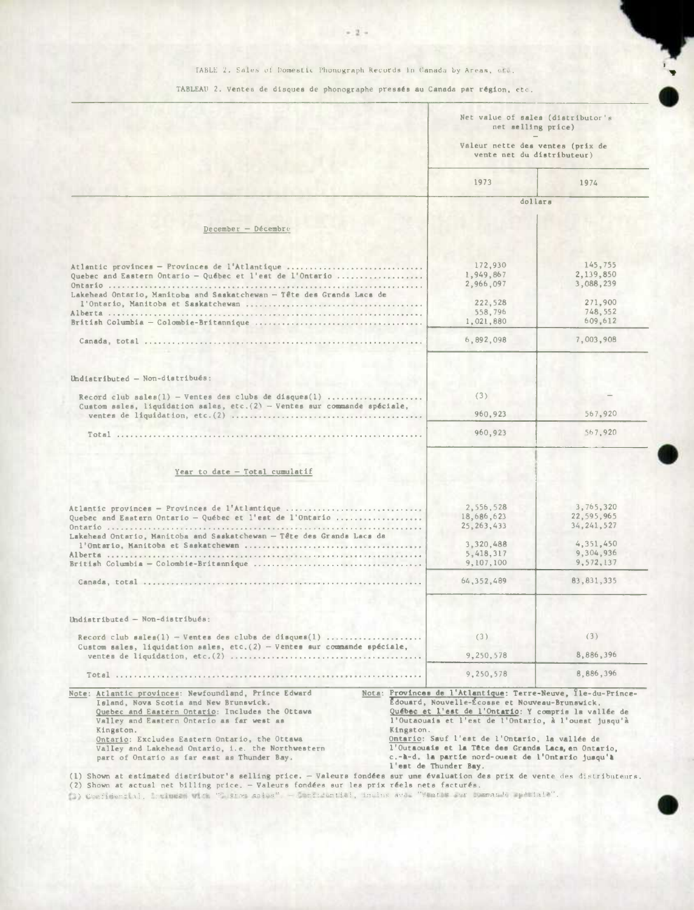## TABLE 2. Sales of Domestic Phonograph Records in Canada by Areas, etc.

TABLEAU 2. Ventes de disques de phonographe pressés au Canada par région, etc.

|                                                                                                                                                                                                                                                                                                                                                                                                                                                                                                                                                                                                                                                                                                                  | net selling price)<br>Valeur nette des ventes (prix de<br>vente net du distributeur)                                                                                                                                                                                                                                                                                                                                               | Net value of sales (distributor's                                              |
|------------------------------------------------------------------------------------------------------------------------------------------------------------------------------------------------------------------------------------------------------------------------------------------------------------------------------------------------------------------------------------------------------------------------------------------------------------------------------------------------------------------------------------------------------------------------------------------------------------------------------------------------------------------------------------------------------------------|------------------------------------------------------------------------------------------------------------------------------------------------------------------------------------------------------------------------------------------------------------------------------------------------------------------------------------------------------------------------------------------------------------------------------------|--------------------------------------------------------------------------------|
|                                                                                                                                                                                                                                                                                                                                                                                                                                                                                                                                                                                                                                                                                                                  | 1973                                                                                                                                                                                                                                                                                                                                                                                                                               | 1974                                                                           |
|                                                                                                                                                                                                                                                                                                                                                                                                                                                                                                                                                                                                                                                                                                                  |                                                                                                                                                                                                                                                                                                                                                                                                                                    | dollars                                                                        |
| $December - December$                                                                                                                                                                                                                                                                                                                                                                                                                                                                                                                                                                                                                                                                                            |                                                                                                                                                                                                                                                                                                                                                                                                                                    |                                                                                |
|                                                                                                                                                                                                                                                                                                                                                                                                                                                                                                                                                                                                                                                                                                                  |                                                                                                                                                                                                                                                                                                                                                                                                                                    |                                                                                |
| Atlantic provinces - Provinces de l'Atlantique<br>Quebec and Eastern Ontario - Québec et l'est de l'Ontario<br>Lakehead Ontario, Manitoba and Saskatchewan - Tête des Grands Lacs de                                                                                                                                                                                                                                                                                                                                                                                                                                                                                                                             | 172,930<br>1,949,867<br>2,966,097<br>222,528<br>558.796<br>1,021,880                                                                                                                                                                                                                                                                                                                                                               | 145,755<br>2,139,850<br>3,088,239<br>271,900<br>748,552<br>609,612             |
|                                                                                                                                                                                                                                                                                                                                                                                                                                                                                                                                                                                                                                                                                                                  | 6,892,098                                                                                                                                                                                                                                                                                                                                                                                                                          | 7,003,908                                                                      |
| Undistributed - Non-distribués:<br>Record club sales(1) - Ventes des clubs de disques(1)<br>Custom sales, liquidation sales, etc. $(2)$ - Ventes sur commande spéciale,                                                                                                                                                                                                                                                                                                                                                                                                                                                                                                                                          | (3)<br>960,923<br>960,923                                                                                                                                                                                                                                                                                                                                                                                                          | 567,920<br>567,920                                                             |
| Year to date - Total cumulatif                                                                                                                                                                                                                                                                                                                                                                                                                                                                                                                                                                                                                                                                                   |                                                                                                                                                                                                                                                                                                                                                                                                                                    |                                                                                |
| Atlantic provinces - Provinces de l'Atlantique<br>Quebec and Eastern Ontario - Québec et l'est de l'Ontario<br>Lakehead Ontario, Manitoba and Saskatchewan - Tête des Grands Lacs da                                                                                                                                                                                                                                                                                                                                                                                                                                                                                                                             | 2,556,528<br>18,686,623<br>25, 263, 433<br>3,320,488<br>5,418,317<br>9,107,100                                                                                                                                                                                                                                                                                                                                                     | 3,765,320<br>22,595,965<br>34, 241, 527<br>4,351,450<br>9,304,936<br>9.572.137 |
|                                                                                                                                                                                                                                                                                                                                                                                                                                                                                                                                                                                                                                                                                                                  | 64, 352, 489                                                                                                                                                                                                                                                                                                                                                                                                                       | 83, 831, 335                                                                   |
| Undistributed - Non-distribués:<br>Record club sales(1) - Ventes des clubs de disques(1)<br>Custom sales, liquidation sales, etc. $(2)$ - Ventes sur commande spéciale,                                                                                                                                                                                                                                                                                                                                                                                                                                                                                                                                          | (3)<br>9,250,578                                                                                                                                                                                                                                                                                                                                                                                                                   | (3)<br>8,886,396                                                               |
| Total                                                                                                                                                                                                                                                                                                                                                                                                                                                                                                                                                                                                                                                                                                            | 9,250,578                                                                                                                                                                                                                                                                                                                                                                                                                          | 8,886,396                                                                      |
| Note: Atlantic provinces: Newfoundland, Prince Edward<br>Island, Nova Scotia and New Brunswick.<br>Quebec and Eastern Ontario: Includes the Ottawa<br>Valley and Eastern Ontario as far west as<br>Kingston.<br>Ontario: Excludes Eastern Ontario, the Ottawa<br>Valley and Lakehead Ontario, i.e. the Northwestern<br>part of Ontario as far east as Thunder Bay.<br>(1) Shown at estimated distributor's selling price. - Valeurs fondées sur une évaluation des prix de vente des distributeurs.<br>(2) Shown at actual net billing price. - Valeurs fondées sur les prix réels nets facturés.<br>(3) Confidential, Incinded With "Tusing sales". - Confidential, inclus avec "Ventas sur commande speciale". | Nota: Provinces de l'Atlantique: Terre-Neuve, Ile-du-Prince-<br>Edouard, Nouvelle-Écosse et Nouveau-Brunswick.<br>Québec et l'est de l'Ontario: Y compris la vallée de<br>l'Outaouais et l'est de l'Ontario, à l'ouest jusqu'à<br>Kingston.<br>Ontario: Sauf l'est de l'Ontario, la vallée de<br>l'Outaouais et la Tête des Grands Laca, en Ontario,<br>c.-A-d. la partie nord-ouest de l'Ontario jusqu'à<br>l'est de Thunder Bay. |                                                                                |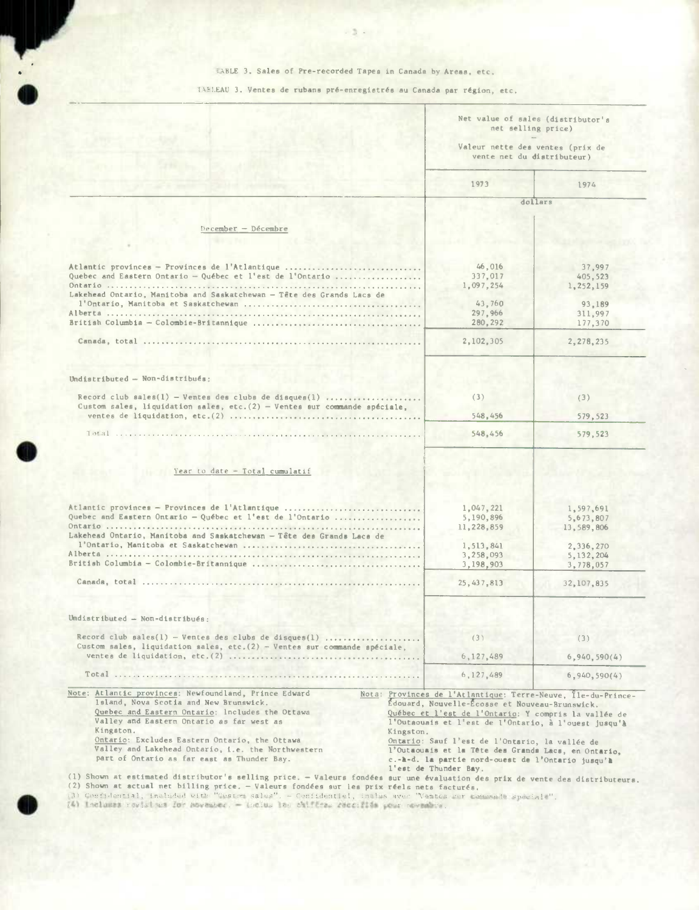TABLE 3. Sales of Pre-recorded Tapes in Canada by Areas, etc.

TABLEAU 3. Ventes de rubans pré-enregistrés au Canada par région, etc.

|                                                                                                                                                          | Net value of sales (distributor's<br>net selling price)<br>Valeur nette des ventes (prix de<br>vente net du distributeur) |                          |
|----------------------------------------------------------------------------------------------------------------------------------------------------------|---------------------------------------------------------------------------------------------------------------------------|--------------------------|
|                                                                                                                                                          | 1973                                                                                                                      | 1974                     |
|                                                                                                                                                          |                                                                                                                           | dollars                  |
| $Decenter - Decenter$                                                                                                                                    |                                                                                                                           |                          |
|                                                                                                                                                          |                                                                                                                           |                          |
| Atlantic provinces - Provinces de l'Atlantique                                                                                                           | 46,016                                                                                                                    | 37,997                   |
| Quebec and Eastern Ontario - Québec et l'est de l'Ontario                                                                                                | 337,017                                                                                                                   | 405,523                  |
| Lakehead Ontario, Manitoba and Saskatchewan - Tête des Grands Lacs de                                                                                    | 1,097,254                                                                                                                 | 1,252,159                |
|                                                                                                                                                          | 43,760                                                                                                                    | 93,189                   |
|                                                                                                                                                          | 297.966                                                                                                                   | 311,997                  |
|                                                                                                                                                          | 280,292                                                                                                                   | 177,370                  |
|                                                                                                                                                          | 2,102,305                                                                                                                 | 2,278,235                |
| Undistributed - Non-distribués:                                                                                                                          |                                                                                                                           |                          |
|                                                                                                                                                          |                                                                                                                           |                          |
| Record club sales(1) - Ventes des clubs de disques(1)                                                                                                    | (3)                                                                                                                       | (3)                      |
| Custom sales, liquidation sales, etc. $(2)$ - Ventes sur commande spéciale,                                                                              | 548,456                                                                                                                   | 579,523                  |
| Total                                                                                                                                                    | 548,456                                                                                                                   | 579.523                  |
|                                                                                                                                                          |                                                                                                                           |                          |
| Year to date - Total cumulatif                                                                                                                           |                                                                                                                           |                          |
|                                                                                                                                                          |                                                                                                                           |                          |
| Atlantic provinces - Provinces de l'Atlantique<br>Quebec and Eastern Ontario - Québec et l'est de l'Ontario                                              | 1,047,221                                                                                                                 | 1,597,691                |
|                                                                                                                                                          | 5,190,896<br>11,228,859                                                                                                   | 5,673,807<br>13,589,806  |
| Lakehead Ontario, Manitoba and Saskatchewan - Tête des Grands Lacs de                                                                                    |                                                                                                                           |                          |
|                                                                                                                                                          | 1,513,841                                                                                                                 | 2,336,270                |
|                                                                                                                                                          | 3,258,093<br>3,198,903                                                                                                    | 5, 132, 204<br>3,778,057 |
|                                                                                                                                                          |                                                                                                                           |                          |
|                                                                                                                                                          | 25, 437, 813                                                                                                              | 32, 107, 835             |
| Undistributed - Non-distribués:                                                                                                                          |                                                                                                                           |                          |
|                                                                                                                                                          | (3)                                                                                                                       | (3)                      |
| Custom sales, liquidation sales, etc. $(2)$ - Ventes sur commande spéciale,                                                                              |                                                                                                                           |                          |
|                                                                                                                                                          | 6,127,489                                                                                                                 | 6,940,590(4)             |
|                                                                                                                                                          | 6, 127, 489                                                                                                               | 6,940,590(4)             |
| Note: Atlantic provinces: Newfoundland, Prince Edward<br>lsland, Nova Scotia and New Brunswick.                                                          | Nota: Provinces de l'Atlantique: Terre-Neuve, Île-du-Prince-<br>Édouard, Nouvelle-Écosse et Nouveau-Brunswick.            |                          |
| Quebec and Eastern Ontario: Includes the Ottawa<br>Valley and Eastern Ontario as far west as                                                             | Québec et l'est de l'Ontario: Y compris la vallée de<br>l'Outaouais et l'est de l'Ontario, à l'ouest jusqu'à              |                          |
| Kingston.<br>Kingston.                                                                                                                                   |                                                                                                                           |                          |
| Ontario: Excludes Eastern Ontario, the Ottawa                                                                                                            | Ontario: Sauf l'est de l'Ontario, la vallée de                                                                            |                          |
| Valley and Lakehead Ontario, i.e. the Northwestern<br>l'Outaouais et la Tête des Grands Lacs, en Ontario,<br>part of Ontario as far east as Thunder Bay. |                                                                                                                           |                          |
|                                                                                                                                                          | c.-A-d. la partie nord-ouest de l'Ontario jusqu'à<br>l'est de Thunder Bay.                                                |                          |

(1) Shown at estimated distributor's selling price. - Valeurs fondéea sur une evaluation dea prix de vente des distriboteura.

(2) Shown at actual net billing price. - Valeurs fondées sur les prix réels nets facturés.<br>(3) Confidential, included with "Custom sales". - Confidential, inclus avec "Ventes sur compa

**.** 

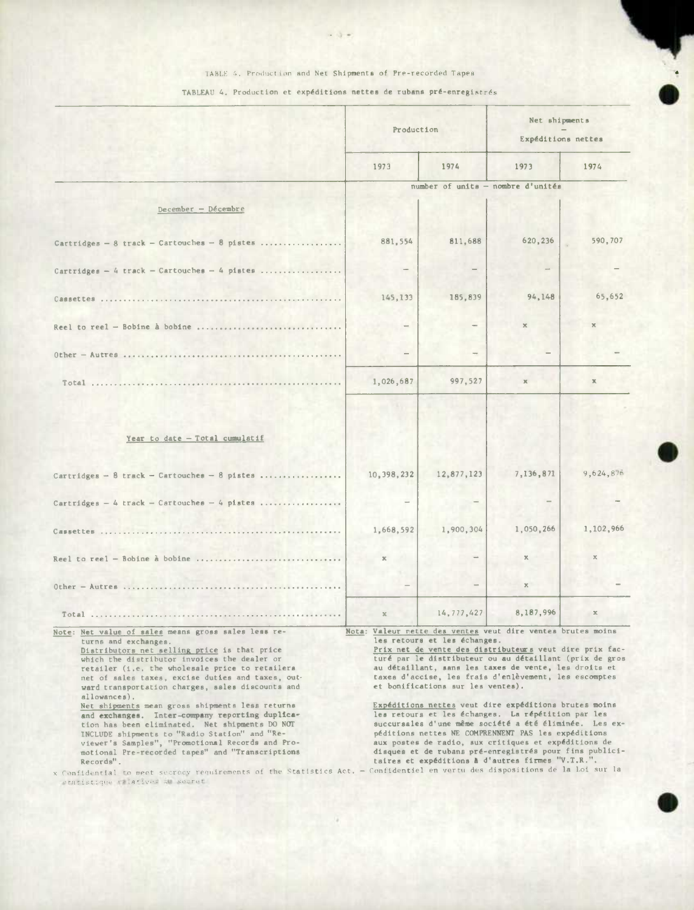## TABLE 4. Production and Net Shipments of Pre-recorded Tapes

 $\frac{1}{2} \left( \frac{1}{2} \right) \left( \frac{1}{2} \right) \frac{1}{2} \left( \frac{1}{2} \right)$ 

### TABLEAU 4. Production et expéditions nettes de rubans pré-enregistrés

|                                                                                                                                                                                                                                                                                                                                                                                                                                                                                                                                                                                                                                                                                       | Production                                                                                                                                                                                                                                                                                                                                                                                                                                                                                                                                                                                                                                                                                                                                                                       |              | Net shipments<br>Expéditions nettes |               |  |  |
|---------------------------------------------------------------------------------------------------------------------------------------------------------------------------------------------------------------------------------------------------------------------------------------------------------------------------------------------------------------------------------------------------------------------------------------------------------------------------------------------------------------------------------------------------------------------------------------------------------------------------------------------------------------------------------------|----------------------------------------------------------------------------------------------------------------------------------------------------------------------------------------------------------------------------------------------------------------------------------------------------------------------------------------------------------------------------------------------------------------------------------------------------------------------------------------------------------------------------------------------------------------------------------------------------------------------------------------------------------------------------------------------------------------------------------------------------------------------------------|--------------|-------------------------------------|---------------|--|--|
|                                                                                                                                                                                                                                                                                                                                                                                                                                                                                                                                                                                                                                                                                       | 1973                                                                                                                                                                                                                                                                                                                                                                                                                                                                                                                                                                                                                                                                                                                                                                             | 1974         | 1973                                | 1974          |  |  |
|                                                                                                                                                                                                                                                                                                                                                                                                                                                                                                                                                                                                                                                                                       |                                                                                                                                                                                                                                                                                                                                                                                                                                                                                                                                                                                                                                                                                                                                                                                  |              | number of units - nombre d'unités   |               |  |  |
| December - Décembre                                                                                                                                                                                                                                                                                                                                                                                                                                                                                                                                                                                                                                                                   |                                                                                                                                                                                                                                                                                                                                                                                                                                                                                                                                                                                                                                                                                                                                                                                  |              |                                     |               |  |  |
| Cartridges - $8$ track - Cartouches - $8$ pistes                                                                                                                                                                                                                                                                                                                                                                                                                                                                                                                                                                                                                                      | 881,554                                                                                                                                                                                                                                                                                                                                                                                                                                                                                                                                                                                                                                                                                                                                                                          | 811,688      | 620,236                             | 590,707       |  |  |
| Cartridges - 4 track - Cartouches - 4 pistes                                                                                                                                                                                                                                                                                                                                                                                                                                                                                                                                                                                                                                          |                                                                                                                                                                                                                                                                                                                                                                                                                                                                                                                                                                                                                                                                                                                                                                                  |              |                                     |               |  |  |
|                                                                                                                                                                                                                                                                                                                                                                                                                                                                                                                                                                                                                                                                                       | 145,133                                                                                                                                                                                                                                                                                                                                                                                                                                                                                                                                                                                                                                                                                                                                                                          | 185,839      | 94,148                              | 65,652        |  |  |
| Reel to reel - Bobine à bobine                                                                                                                                                                                                                                                                                                                                                                                                                                                                                                                                                                                                                                                        |                                                                                                                                                                                                                                                                                                                                                                                                                                                                                                                                                                                                                                                                                                                                                                                  |              | $\mathbb X$                         | $\mathbf{x}$  |  |  |
|                                                                                                                                                                                                                                                                                                                                                                                                                                                                                                                                                                                                                                                                                       |                                                                                                                                                                                                                                                                                                                                                                                                                                                                                                                                                                                                                                                                                                                                                                                  |              |                                     |               |  |  |
|                                                                                                                                                                                                                                                                                                                                                                                                                                                                                                                                                                                                                                                                                       | 1,026,687                                                                                                                                                                                                                                                                                                                                                                                                                                                                                                                                                                                                                                                                                                                                                                        | 997.527      | $\mathbb K$                         | $\mathbb X$   |  |  |
| Year to date - Total cumulatif<br>Cartridges - $8$ track - Cartouches - $8$ pistes                                                                                                                                                                                                                                                                                                                                                                                                                                                                                                                                                                                                    | 10,398,232                                                                                                                                                                                                                                                                                                                                                                                                                                                                                                                                                                                                                                                                                                                                                                       | 12,877,123   | 7,136,871                           | 9,624,876     |  |  |
| Cartridges - 4 track - Cartouches - 4 pistes                                                                                                                                                                                                                                                                                                                                                                                                                                                                                                                                                                                                                                          |                                                                                                                                                                                                                                                                                                                                                                                                                                                                                                                                                                                                                                                                                                                                                                                  |              |                                     |               |  |  |
|                                                                                                                                                                                                                                                                                                                                                                                                                                                                                                                                                                                                                                                                                       | 1,668,592                                                                                                                                                                                                                                                                                                                                                                                                                                                                                                                                                                                                                                                                                                                                                                        | 1,900,304    | 1,050,266                           | 1,102,966     |  |  |
| Reel to reel - Bobine à bobine                                                                                                                                                                                                                                                                                                                                                                                                                                                                                                                                                                                                                                                        | $\mathbb K$                                                                                                                                                                                                                                                                                                                                                                                                                                                                                                                                                                                                                                                                                                                                                                      |              | $\mathbf{x}$                        | $\mathbf x$   |  |  |
|                                                                                                                                                                                                                                                                                                                                                                                                                                                                                                                                                                                                                                                                                       |                                                                                                                                                                                                                                                                                                                                                                                                                                                                                                                                                                                                                                                                                                                                                                                  |              | x                                   |               |  |  |
| Total                                                                                                                                                                                                                                                                                                                                                                                                                                                                                                                                                                                                                                                                                 | $\mathbf{x}$                                                                                                                                                                                                                                                                                                                                                                                                                                                                                                                                                                                                                                                                                                                                                                     | 14, 777, 427 | 8,187,996                           | $\mathbbm{X}$ |  |  |
| Note: Net value of sales means gross sales less re-<br>turns and exchanges.<br>Distributors net selling price is that price<br>which the distributor invoices the dealer or<br>retailer (i.e. the wholesale price to retailers<br>net of sales taxes, excise duties and taxes, out-<br>ward transportation charges, sales discounts and<br>allowances),<br>Net shipments mean gross shipments less returns<br>and exchanges. Inter-company reporting duplica-<br>tion has been eliminated. Net shipments DO NOT<br>INCLUDE shipments to "Radio Station" and "Re-<br>viewer's Samples", "Promotional Records and Pro-<br>motional Pre-recorded tapes" and "Transcriptions<br>Records". | Nota: Valeur nette des ventes veut dire ventes brutes moins<br>les retours et les échanges.<br>Prix net de vente des distributeurs veut dire prix fac-<br>turé par le distributeur ou au détaillant (prix de gros<br>au détaillant, sans les taxes de vente, les droits et<br>taxes d'accise, les frais d'enlèvement, les escomptes<br>et bonifications sur les ventes).<br>Expéditions nettes veut dire expéditions brutes moins<br>les retours et les échanges. La répétition par les<br>succursales d'une même société a été éliminée. Les ex-<br>péditions nettes NE COMPRENNENT PAS les expéditions<br>aux postes de radio, sux critiques et expéditions de<br>disques et de rubans pré-enregistrés pour fins publici-<br>taires et expéditions à d'autres firmes "V.T.R.". |              |                                     |               |  |  |

x Confidential to meet secrecy requirements of the Statistics Act. - Confidentiel en vertu des dispositions de la loi sur la<br>etatistique relatives au secret.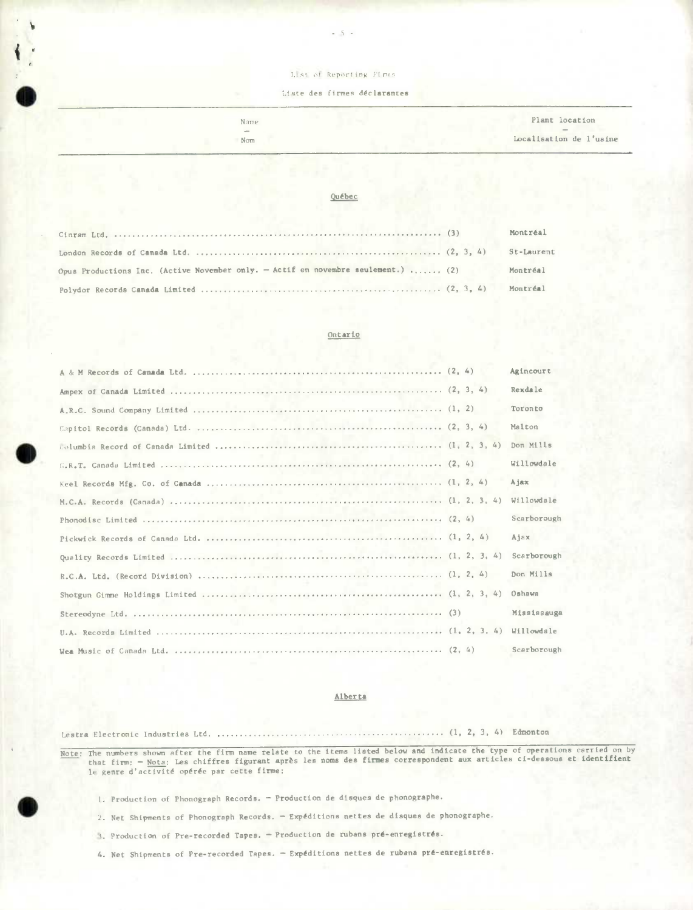#### List of Reporting Firms

#### Liste des firmes déclarantes

| Name | Plant location          |
|------|-------------------------|
| $-$  | $\hspace{0.1mm}$        |
| Nom  | Localisation de l'usine |
|      |                         |

#### Québec

|                                                                                   | Montréal   |
|-----------------------------------------------------------------------------------|------------|
|                                                                                   | St-Laurent |
| Opus Productions Inc. (Active November only. - Actif en novembre seulement.)  (2) | Montréal   |
|                                                                                   | Montréal   |

### Ontario

|  |  | Agincourt   |
|--|--|-------------|
|  |  | Rexdale     |
|  |  | Toronto     |
|  |  | Malton      |
|  |  | Don Mills   |
|  |  | Willowdale  |
|  |  | Ajax        |
|  |  | Willowdale  |
|  |  | Scarborough |
|  |  | Ajax        |
|  |  | Scarborough |
|  |  | Don Mills   |
|  |  | Oshawa      |
|  |  | Mississauga |
|  |  | Willowdale  |
|  |  | Scarborough |

#### Alberta

Lestra Electronic Industries Ltd. .................................................. (1, 2, 3, 4) Edmonton

<u>Note</u>: The numbers shown after the firm name relate to the items listed below and indicate the type of operations carried on by<br>that firm: — Nota: Les chiffres figurant après les noms des firmes correspondent aux articles le genre d'activité opérée par cette firme:

- 1. Production of Phonograph Records. Production de disques de phonographe.
- 2. Net Shipments of Phonograph Records. Expéditions nettes de disques de phonographe.
- i. Production of Pre-recorded Tapes. Production de rubans **pre-enregistres.**

4. Net Shipments of Pre-recorded Tapes. - Expéditions nettes de rubana pré-enregistrés.



4;